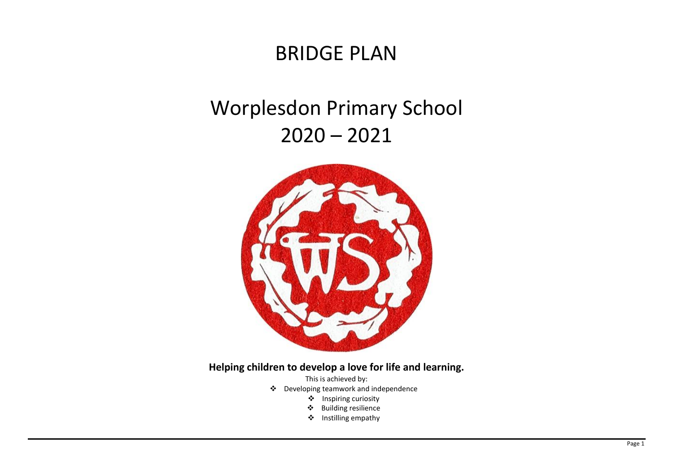## BRIDGE PLAN

# Worplesdon Primary School  $2020 - 2021$



## **Helping children to develop a love for life and learning.**

This is achieved by:

- ❖ Developing teamwork and independence
	- ❖ Inspiring curiosity
	- ❖ Building resilience
	- ❖ Instilling empathy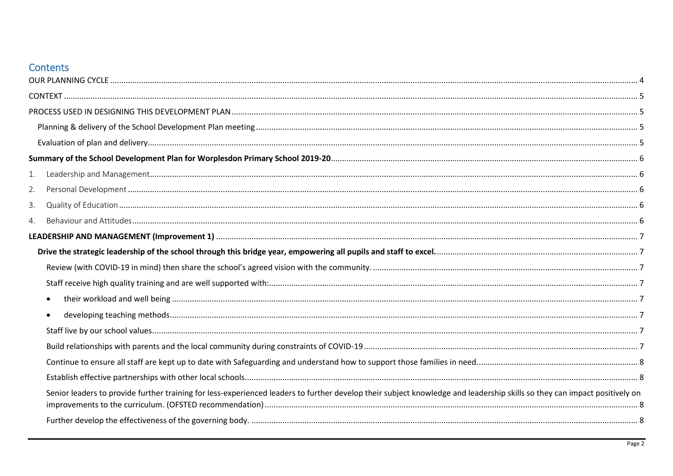## Contents

| Senior leaders to provide further training for less-experienced leaders to further develop their subject knowledge and leadership skills so they can impact positively on |
|---------------------------------------------------------------------------------------------------------------------------------------------------------------------------|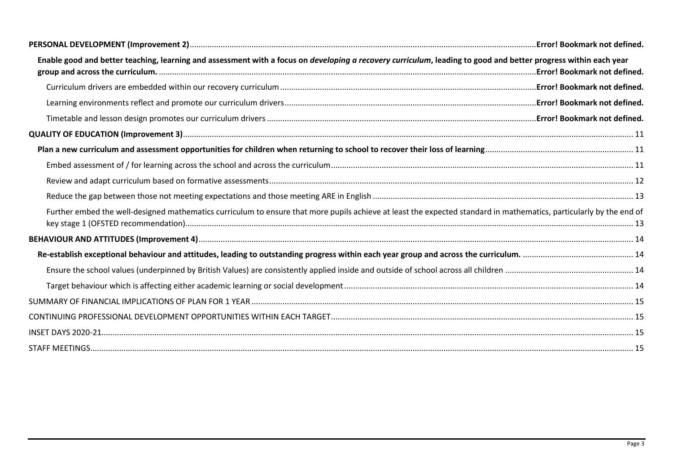| Enable good and better teaching, learning and assessment with a focus on <i>developing a recovery curriculum</i> , leading to good and better progress within each year | .Error! Bookmark not defined. |
|-------------------------------------------------------------------------------------------------------------------------------------------------------------------------|-------------------------------|
|                                                                                                                                                                         |                               |
|                                                                                                                                                                         |                               |
|                                                                                                                                                                         |                               |
|                                                                                                                                                                         |                               |
|                                                                                                                                                                         |                               |
|                                                                                                                                                                         |                               |
|                                                                                                                                                                         |                               |
|                                                                                                                                                                         |                               |
| Further embed the well-designed mathematics curriculum to ensure that more pupils achieve at least the expected standard in mathematics, particularly by the end of     |                               |
|                                                                                                                                                                         |                               |
|                                                                                                                                                                         |                               |
|                                                                                                                                                                         |                               |
|                                                                                                                                                                         |                               |
|                                                                                                                                                                         |                               |
|                                                                                                                                                                         |                               |
|                                                                                                                                                                         |                               |
|                                                                                                                                                                         |                               |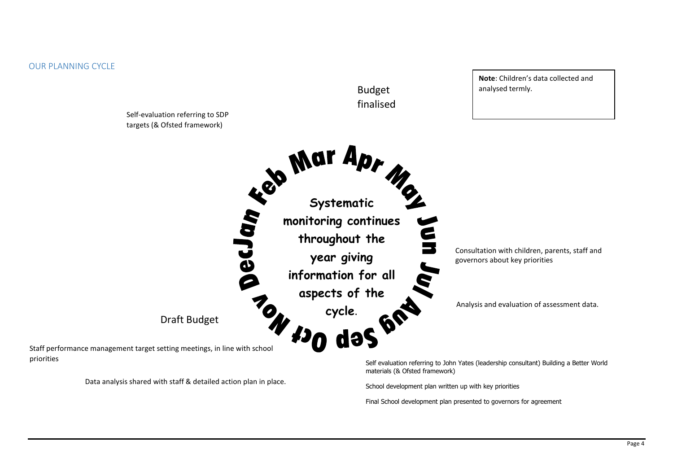<span id="page-3-0"></span>

Data analysis shared with staff & detailed action plan in place.

materials (& Ofsted framework)

**Note**: Children's data collected and

School development plan written up with key priorities

Final School development plan presented to governors for agreement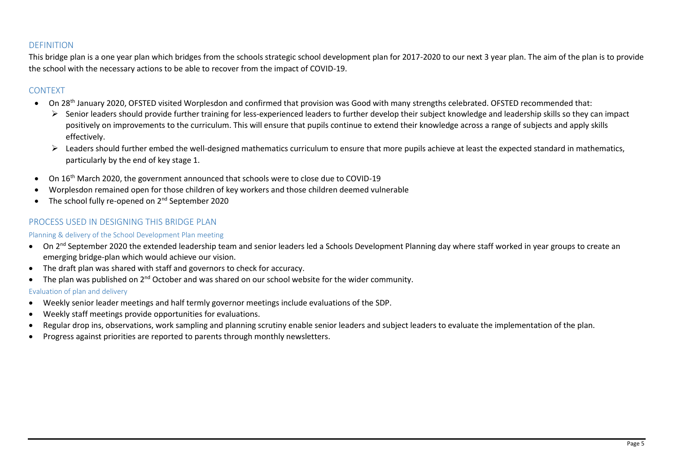#### <span id="page-4-0"></span>DEFINITION

This bridge plan is a one year plan which bridges from the schools strategic school development plan for 2017-2020 to our next 3 year plan. The aim of the plan is to provide the school with the necessary actions to be able to recover from the impact of COVID-19.

### CONTEXT

- On 28<sup>th</sup> January 2020, OFSTED visited Worplesdon and confirmed that provision was Good with many strengths celebrated. OFSTED recommended that:
	- ➢ Senior leaders should provide further training for less-experienced leaders to further develop their subject knowledge and leadership skills so they can impact positively on improvements to the curriculum. This will ensure that pupils continue to extend their knowledge across a range of subjects and apply skills effectively.
	- ➢ Leaders should further embed the well-designed mathematics curriculum to ensure that more pupils achieve at least the expected standard in mathematics, particularly by the end of key stage 1.
- On 16<sup>th</sup> March 2020, the government announced that schools were to close due to COVID-19
- Worplesdon remained open for those children of key workers and those children deemed vulnerable
- The school fully re-opened on 2<sup>nd</sup> September 2020

### <span id="page-4-1"></span>PROCESS USED IN DESIGNING THIS BRIDGE PLAN

#### <span id="page-4-2"></span>Planning & delivery of the School Development Plan meeting

- On 2<sup>nd</sup> September 2020 the extended leadership team and senior leaders led a Schools Development Planning day where staff worked in year groups to create an emerging bridge-plan which would achieve our vision.
- The draft plan was shared with staff and governors to check for accuracy.
- The plan was published on  $2^{nd}$  October and was shared on our school website for the wider community.

#### <span id="page-4-3"></span>Evaluation of plan and delivery

- Weekly senior leader meetings and half termly governor meetings include evaluations of the SDP.
- Weekly staff meetings provide opportunities for evaluations.
- Regular drop ins, observations, work sampling and planning scrutiny enable senior leaders and subject leaders to evaluate the implementation of the plan.
- Progress against priorities are reported to parents through monthly newsletters.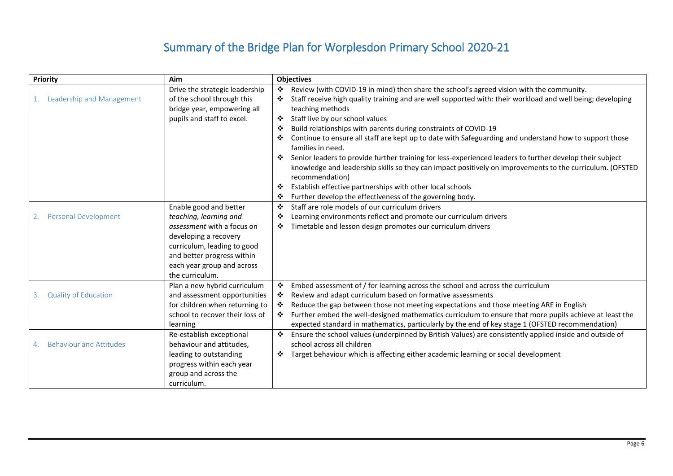## Summary of the Bridge Plan for Worplesdon Primary School 2020-21

<span id="page-5-4"></span><span id="page-5-3"></span><span id="page-5-2"></span><span id="page-5-1"></span><span id="page-5-0"></span>

| Priority                          | Aim                             | <b>Objectives</b>                                                                                                                |
|-----------------------------------|---------------------------------|----------------------------------------------------------------------------------------------------------------------------------|
|                                   | Drive the strategic leadership  | Review (with COVID-19 in mind) then share the school's agreed vision with the community.<br>❖                                    |
| Leadership and Management         | of the school through this      | Staff receive high quality training and are well supported with: their workload and well being; developing                       |
|                                   | bridge year, empowering all     | teaching methods                                                                                                                 |
|                                   | pupils and staff to excel.      | Staff live by our school values<br>❖                                                                                             |
|                                   |                                 | Build relationships with parents during constraints of COVID-19<br>❖                                                             |
|                                   |                                 | Continue to ensure all staff are kept up to date with Safeguarding and understand how to support those<br>❖<br>families in need. |
|                                   |                                 | Senior leaders to provide further training for less-experienced leaders to further develop their subject<br>❖                    |
|                                   |                                 | knowledge and leadership skills so they can impact positively on improvements to the curriculum. (OFSTED<br>recommendation)      |
|                                   |                                 | Establish effective partnerships with other local schools<br>❖                                                                   |
|                                   |                                 | Further develop the effectiveness of the governing body.<br>❖                                                                    |
|                                   | Enable good and better          | Staff are role models of our curriculum drivers<br>❖                                                                             |
| <b>Personal Development</b>       | teaching, learning and          | Learning environments reflect and promote our curriculum drivers<br>❖                                                            |
|                                   | assessment with a focus on      | Timetable and lesson design promotes our curriculum drivers<br>❖                                                                 |
|                                   | developing a recovery           |                                                                                                                                  |
|                                   | curriculum, leading to good     |                                                                                                                                  |
|                                   | and better progress within      |                                                                                                                                  |
|                                   | each year group and across      |                                                                                                                                  |
|                                   | the curriculum.                 |                                                                                                                                  |
|                                   | Plan a new hybrid curriculum    | ❖<br>Embed assessment of / for learning across the school and across the curriculum                                              |
| <b>Quality of Education</b><br>3. | and assessment opportunities    | Review and adapt curriculum based on formative assessments<br>❖                                                                  |
|                                   | for children when returning to  | Reduce the gap between those not meeting expectations and those meeting ARE in English<br>❖                                      |
|                                   | school to recover their loss of | ❖<br>Further embed the well-designed mathematics curriculum to ensure that more pupils achieve at least the                      |
|                                   | learning                        | expected standard in mathematics, particularly by the end of key stage 1 (OFSTED recommendation)                                 |
|                                   | Re-establish exceptional        | ❖<br>Ensure the school values (underpinned by British Values) are consistently applied inside and outside of                     |
| <b>Behaviour and Attitudes</b>    | behaviour and attitudes,        | school across all children                                                                                                       |
|                                   | leading to outstanding          | Target behaviour which is affecting either academic learning or social development                                               |
|                                   | progress within each year       |                                                                                                                                  |
|                                   | group and across the            |                                                                                                                                  |
|                                   | curriculum.                     |                                                                                                                                  |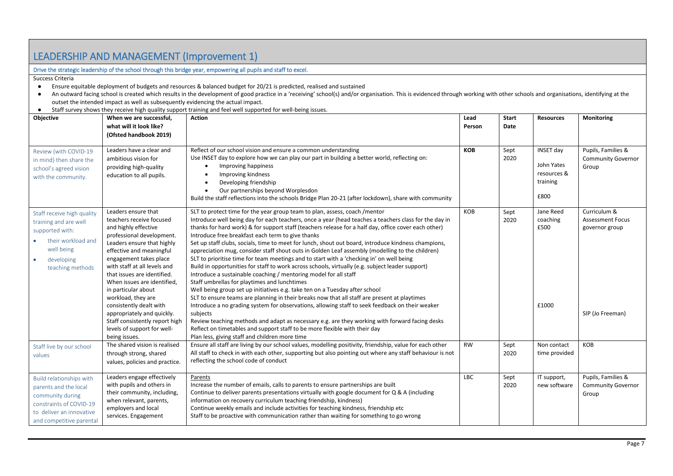## <span id="page-6-0"></span>LEADERSHIP AND MANAGEMENT (Improvement 1)

#### <span id="page-6-1"></span>Drive the strategic leadership of the school through this bridge year, empowering all pupils and staff to excel.

Success Criteria

- Ensure equitable deployment of budgets and resources & balanced budget for 20/21 is predicted, realised and sustained
- An outward facing school is created which results in the development of good practice in a 'receiving' school(s) and/or organisation. This is evidenced through working with other schools and organisations, identifying at outset the intended impact as well as subsequently evidencing the actual impact.
- Staff survey shows they receive high quality support training and feel well supported for well-being issues.

<span id="page-6-7"></span><span id="page-6-6"></span><span id="page-6-5"></span><span id="page-6-4"></span><span id="page-6-3"></span><span id="page-6-2"></span>

| Objective                                                                                                                                                       | When we are successful,<br>what will it look like?<br>(Ofsted handbook 2019)                                                                                                                                                                                                                                                                                                                                                                                                   | <b>Action</b>                                                                                                                                                                                                                                                                                                                                                                                                                                                                                                                                                                                                                                                                                                                                                                                                                                                                                                                                                                                                                                                                                                                                                                                                                                                                                                                                                                                                  | Lead<br>Person | Start<br>Date | <b>Resources</b>                                                  | Monitoring                                                                    |
|-----------------------------------------------------------------------------------------------------------------------------------------------------------------|--------------------------------------------------------------------------------------------------------------------------------------------------------------------------------------------------------------------------------------------------------------------------------------------------------------------------------------------------------------------------------------------------------------------------------------------------------------------------------|----------------------------------------------------------------------------------------------------------------------------------------------------------------------------------------------------------------------------------------------------------------------------------------------------------------------------------------------------------------------------------------------------------------------------------------------------------------------------------------------------------------------------------------------------------------------------------------------------------------------------------------------------------------------------------------------------------------------------------------------------------------------------------------------------------------------------------------------------------------------------------------------------------------------------------------------------------------------------------------------------------------------------------------------------------------------------------------------------------------------------------------------------------------------------------------------------------------------------------------------------------------------------------------------------------------------------------------------------------------------------------------------------------------|----------------|---------------|-------------------------------------------------------------------|-------------------------------------------------------------------------------|
| Review (with COVID-19<br>in mind) then share the<br>school's agreed vision<br>with the community.                                                               | Leaders have a clear and<br>ambitious vision for<br>providing high-quality<br>education to all pupils.                                                                                                                                                                                                                                                                                                                                                                         | Reflect of our school vision and ensure a common understanding<br>Use INSET day to explore how we can play our part in building a better world, reflecting on:<br>Improving happiness<br>$\bullet$<br>Improving kindness<br>$\bullet$<br>Developing friendship<br>$\bullet$<br>Our partnerships beyond Worplesdon<br>$\bullet$<br>Build the staff reflections into the schools Bridge Plan 20-21 (after lockdown), share with community                                                                                                                                                                                                                                                                                                                                                                                                                                                                                                                                                                                                                                                                                                                                                                                                                                                                                                                                                                        | KOB            | Sept<br>2020  | <b>INSET day</b><br>John Yates<br>resources &<br>training<br>£800 | Pupils, Families &<br><b>Community Governor</b><br>Group                      |
| Staff receive high quality<br>training and are well<br>supported with:<br>their workload and<br>well being<br>developing<br>$\bullet$<br>teaching methods       | Leaders ensure that<br>teachers receive focused<br>and highly effective<br>professional development.<br>Leaders ensure that highly<br>effective and meaningful<br>engagement takes place<br>with staff at all levels and<br>that issues are identified.<br>When issues are identified,<br>in particular about<br>workload, they are<br>consistently dealt with<br>appropriately and quickly.<br>Staff consistently report high<br>levels of support for well-<br>being issues. | SLT to protect time for the year group team to plan, assess, coach /mentor<br>Introduce well being day for each teachers, once a year (head teaches a teachers class for the day in<br>thanks for hard work) & for support staff (teachers release for a half day, office cover each other)<br>Introduce free breakfast each term to give thanks<br>Set up staff clubs, socials, time to meet for lunch, shout out board, introduce kindness champions,<br>appreciation mug, consider staff shout outs in Golden Leaf assembly (modelling to the children)<br>SLT to prioritise time for team meetings and to start with a 'checking in' on well being<br>Build in opportunities for staff to work across schools, virtually (e.g. subject leader support)<br>Introduce a sustainable coaching / mentoring model for all staff<br>Staff umbrellas for playtimes and lunchtimes<br>Well being group set up initiatives e.g. take ten on a Tuesday after school<br>SLT to ensure teams are planning in their breaks now that all staff are present at playtimes<br>Introduce a no grading system for observations, allowing staff to seek feedback on their weaker<br>subjects<br>Review teaching methods and adapt as necessary e.g. are they working with forward facing desks<br>Reflect on timetables and support staff to be more flexible with their day<br>Plan less, giving staff and children more time | KOB            | Sept<br>2020  | Jane Reed<br>coaching<br>£500<br>£1000                            | Curriculum &<br><b>Assessment Focus</b><br>governor group<br>SIP (Jo Freeman) |
| Staff live by our school<br>values                                                                                                                              | The shared vision is realised<br>through strong, shared<br>values, policies and practice.                                                                                                                                                                                                                                                                                                                                                                                      | Ensure all staff are living by our school values, modelling positivity, friendship, value for each other<br>All staff to check in with each other, supporting but also pointing out where any staff behaviour is not<br>reflecting the school code of conduct                                                                                                                                                                                                                                                                                                                                                                                                                                                                                                                                                                                                                                                                                                                                                                                                                                                                                                                                                                                                                                                                                                                                                  | <b>RW</b>      | Sept<br>2020  | Non contact<br>time provided                                      | KOB                                                                           |
| <b>Build relationships with</b><br>parents and the local<br>community during<br>constraints of COVID-19<br>to deliver an innovative<br>and competitive parental | Leaders engage effectively<br>with pupils and others in<br>their community, including,<br>when relevant, parents,<br>employers and local<br>services. Engagement                                                                                                                                                                                                                                                                                                               | Parents<br>Increase the number of emails, calls to parents to ensure partnerships are built<br>Continue to deliver parents presentations virtually with google document for Q & A (including<br>information on recovery curriculum teaching friendship, kindness)<br>Continue weekly emails and include activities for teaching kindness, friendship etc<br>Staff to be proactive with communication rather than waiting for something to go wrong                                                                                                                                                                                                                                                                                                                                                                                                                                                                                                                                                                                                                                                                                                                                                                                                                                                                                                                                                             | <b>LBC</b>     | Sept<br>2020  | IT support,<br>new software                                       | Pupils, Families &<br><b>Community Governor</b><br>Group                      |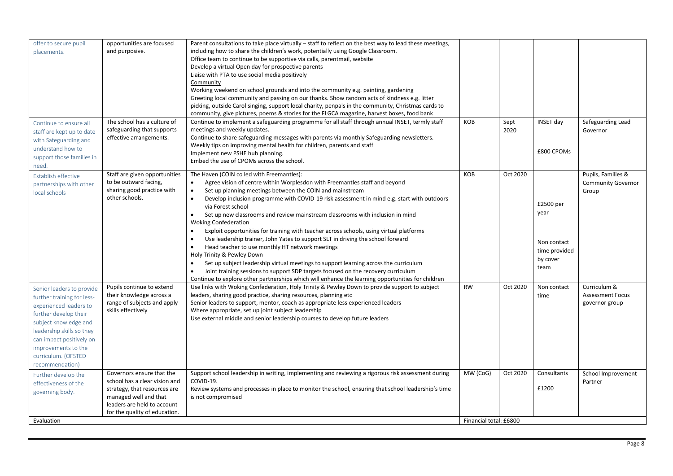<span id="page-7-3"></span><span id="page-7-2"></span><span id="page-7-1"></span><span id="page-7-0"></span>

| offer to secure pupil      | opportunities are focused     | Parent consultations to take place virtually – staff to reflect on the best way to lead these meetings,                                                                                           |                        |          |                  |                           |
|----------------------------|-------------------------------|---------------------------------------------------------------------------------------------------------------------------------------------------------------------------------------------------|------------------------|----------|------------------|---------------------------|
| placements.                | and purposive.                | including how to share the children's work, potentially using Google Classroom.                                                                                                                   |                        |          |                  |                           |
|                            |                               | Office team to continue to be supportive via calls, parentmail, website                                                                                                                           |                        |          |                  |                           |
|                            |                               | Develop a virtual Open day for prospective parents                                                                                                                                                |                        |          |                  |                           |
|                            |                               |                                                                                                                                                                                                   |                        |          |                  |                           |
|                            |                               | Liaise with PTA to use social media positively                                                                                                                                                    |                        |          |                  |                           |
|                            |                               | Community                                                                                                                                                                                         |                        |          |                  |                           |
|                            |                               | Working weekend on school grounds and into the community e.g. painting, gardening<br>Greeting local community and passing on our thanks. Show random acts of kindness e.g. litter                 |                        |          |                  |                           |
|                            |                               |                                                                                                                                                                                                   |                        |          |                  |                           |
|                            |                               | picking, outside Carol singing, support local charity, penpals in the community, Christmas cards to<br>community, give pictures, poems & stories for the FLGCA magazine, harvest boxes, food bank |                        |          |                  |                           |
| Continue to ensure all     | The school has a culture of   | Continue to implement a safeguarding programme for all staff through annual INSET, termly staff                                                                                                   | KOB                    | Sept     | <b>INSET day</b> | Safeguarding Lead         |
| staff are kept up to date  | safeguarding that supports    | meetings and weekly updates.                                                                                                                                                                      |                        | 2020     |                  | Governor                  |
| with Safeguarding and      | effective arrangements.       | Continue to share safeguarding messages with parents via monthly Safeguarding newsletters.                                                                                                        |                        |          |                  |                           |
| understand how to          |                               | Weekly tips on improving mental health for children, parents and staff                                                                                                                            |                        |          |                  |                           |
|                            |                               | Implement new PSHE hub planning.                                                                                                                                                                  |                        |          | £800 CPOMs       |                           |
| support those families in  |                               | Embed the use of CPOMs across the school.                                                                                                                                                         |                        |          |                  |                           |
| need.                      |                               |                                                                                                                                                                                                   |                        |          |                  |                           |
| Establish effective        | Staff are given opportunities | The Haven (COIN co led with Freemantles):                                                                                                                                                         | KOB                    | Oct 2020 |                  | Pupils, Families &        |
| partnerships with other    | to be outward facing,         | Agree vision of centre within Worplesdon with Freemantles staff and beyond                                                                                                                        |                        |          |                  | <b>Community Governor</b> |
| local schools              | sharing good practice with    | Set up planning meetings between the COIN and mainstream                                                                                                                                          |                        |          |                  | Group                     |
|                            | other schools.                | Develop inclusion programme with COVID-19 risk assessment in mind e.g. start with outdoors<br>$\bullet$                                                                                           |                        |          |                  |                           |
|                            |                               | via Forest school                                                                                                                                                                                 |                        |          | £2500 per        |                           |
|                            |                               | Set up new classrooms and review mainstream classrooms with inclusion in mind<br>$\bullet$                                                                                                        |                        |          | year             |                           |
|                            |                               | <b>Woking Confederation</b>                                                                                                                                                                       |                        |          |                  |                           |
|                            |                               | $\bullet$<br>Exploit opportunities for training with teacher across schools, using virtual platforms                                                                                              |                        |          |                  |                           |
|                            |                               | Use leadership trainer, John Yates to support SLT in driving the school forward                                                                                                                   |                        |          | Non contact      |                           |
|                            |                               | $\bullet$<br>Head teacher to use monthly HT network meetings                                                                                                                                      |                        |          |                  |                           |
|                            |                               | Holy Trinity & Pewley Down                                                                                                                                                                        |                        |          | time provided    |                           |
|                            |                               | $\bullet$<br>Set up subject leadership virtual meetings to support learning across the curriculum                                                                                                 |                        |          | by cover         |                           |
|                            |                               | Joint training sessions to support SDP targets focused on the recovery curriculum                                                                                                                 |                        |          | team             |                           |
|                            |                               | Continue to explore other partnerships which will enhance the learning opportunities for children                                                                                                 |                        |          |                  |                           |
|                            | Pupils continue to extend     | Use links with Woking Confederation, Holy Trinity & Pewley Down to provide support to subject                                                                                                     | <b>RW</b>              | Oct 2020 | Non contact      | Curriculum &              |
| Senior leaders to provide  | their knowledge across a      | leaders, sharing good practice, sharing resources, planning etc                                                                                                                                   |                        |          | time             | <b>Assessment Focus</b>   |
| further training for less- | range of subjects and apply   | Senior leaders to support, mentor, coach as appropriate less experienced leaders                                                                                                                  |                        |          |                  | governor group            |
| experienced leaders to     | skills effectively            | Where appropriate, set up joint subject leadership                                                                                                                                                |                        |          |                  |                           |
| further develop their      |                               | Use external middle and senior leadership courses to develop future leaders                                                                                                                       |                        |          |                  |                           |
| subject knowledge and      |                               |                                                                                                                                                                                                   |                        |          |                  |                           |
| leadership skills so they  |                               |                                                                                                                                                                                                   |                        |          |                  |                           |
| can impact positively on   |                               |                                                                                                                                                                                                   |                        |          |                  |                           |
| improvements to the        |                               |                                                                                                                                                                                                   |                        |          |                  |                           |
| curriculum. (OFSTED        |                               |                                                                                                                                                                                                   |                        |          |                  |                           |
| recommendation)            |                               |                                                                                                                                                                                                   |                        |          |                  |                           |
| Further develop the        | Governors ensure that the     | Support school leadership in writing, implementing and reviewing a rigorous risk assessment during                                                                                                | MW (CoG)               | Oct 2020 | Consultants      | School Improvement        |
| effectiveness of the       | school has a clear vision and | COVID-19.                                                                                                                                                                                         |                        |          |                  | Partner                   |
|                            | strategy, that resources are  | Review systems and processes in place to monitor the school, ensuring that school leadership's time                                                                                               |                        |          | £1200            |                           |
| governing body.            | managed well and that         | is not compromised                                                                                                                                                                                |                        |          |                  |                           |
|                            | leaders are held to account   |                                                                                                                                                                                                   |                        |          |                  |                           |
|                            | for the quality of education. |                                                                                                                                                                                                   |                        |          |                  |                           |
| Evaluation                 |                               |                                                                                                                                                                                                   | Financial total: £6800 |          |                  |                           |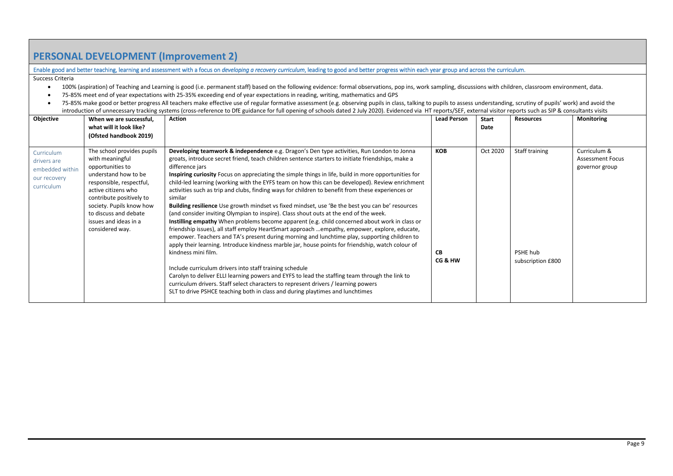## **PERSONAL DEVELOPMENT (Improvement 2)**

Enable good and better teaching, learning and assessment with a focus on *developing a recovery curriculum*, leading to good and better progress within each year group and across the curriculum.

Success Criteria

- 100% (aspiration) of Teaching and Learning is good (i.e. permanent staff) based on the following evidence: formal observations, pop ins, work sampling, discussions with children, classroom environment, data.
- 75-85% meet end of year expectations with 25-35% exceeding end of year expectations in reading, writing, mathematics and GPS
- 75-85% make good or better progress All teachers make effective use of regular formative assessment (e.g. observing pupils in class, talking to pupils to assess understanding, scrutiny of pupils' work) and avoid the introduction of unnecessary tracking systems (cross-reference to DfE guidance for full opening of schools dated 2 July 2020). Evidenced via HT reports/SEF, external visitor reports such as SIP & consultants visits

| Objective                                                                  | When we are successful,<br>what will it look like?                                                                                                                                                                                                                        | Action                                                                                                                                                                                                                                                                                                                                                                                                                                                                                                                                                                                                                                                                                                                                                                                                                                                                                                                                                                                                                                                                                                                                                                                                                                                                                                                                                                                                                                                                                                    | <b>Lead Person</b>                 | Start<br>Date | <b>Resources</b>                                | Monitoring                                                |
|----------------------------------------------------------------------------|---------------------------------------------------------------------------------------------------------------------------------------------------------------------------------------------------------------------------------------------------------------------------|-----------------------------------------------------------------------------------------------------------------------------------------------------------------------------------------------------------------------------------------------------------------------------------------------------------------------------------------------------------------------------------------------------------------------------------------------------------------------------------------------------------------------------------------------------------------------------------------------------------------------------------------------------------------------------------------------------------------------------------------------------------------------------------------------------------------------------------------------------------------------------------------------------------------------------------------------------------------------------------------------------------------------------------------------------------------------------------------------------------------------------------------------------------------------------------------------------------------------------------------------------------------------------------------------------------------------------------------------------------------------------------------------------------------------------------------------------------------------------------------------------------|------------------------------------|---------------|-------------------------------------------------|-----------------------------------------------------------|
|                                                                            | (Ofsted handbook 2019)                                                                                                                                                                                                                                                    |                                                                                                                                                                                                                                                                                                                                                                                                                                                                                                                                                                                                                                                                                                                                                                                                                                                                                                                                                                                                                                                                                                                                                                                                                                                                                                                                                                                                                                                                                                           |                                    |               |                                                 |                                                           |
| Curriculum<br>drivers are<br>embedded within<br>our recovery<br>curriculum | The school provides pupils<br>with meaningful<br>opportunities to<br>understand how to be<br>responsible, respectful,<br>active citizens who<br>contribute positively to<br>society. Pupils know how<br>to discuss and debate<br>issues and ideas in a<br>considered way. | Developing teamwork & independence e.g. Dragon's Den type activities, Run London to Jonna<br>groats, introduce secret friend, teach children sentence starters to initiate friendships, make a<br>difference jars<br>Inspiring curiosity Focus on appreciating the simple things in life, build in more opportunities for<br>child-led learning (working with the EYFS team on how this can be developed). Review enrichment<br>activities such as trip and clubs, finding ways for children to benefit from these experiences or<br>similar<br>Building resilience Use growth mindset vs fixed mindset, use 'Be the best you can be' resources<br>(and consider inviting Olympian to inspire). Class shout outs at the end of the week.<br>Instilling empathy When problems become apparent (e.g. child concerned about work in class or<br>friendship issues), all staff employ HeartSmart approach empathy, empower, explore, educate,<br>empower. Teachers and TA's present during morning and lunchtime play, supporting children to<br>apply their learning. Introduce kindness marble jar, house points for friendship, watch colour of<br>kindness mini film.<br>Include curriculum drivers into staff training schedule<br>Carolyn to deliver ELLI learning powers and EYFS to lead the staffing team through the link to<br>curriculum drivers. Staff select characters to represent drivers / learning powers<br>SLT to drive PSHCE teaching both in class and during playtimes and lunchtimes | <b>KOB</b><br><b>CB</b><br>CG & HW | Oct 2020      | Staff training<br>PSHE hub<br>subscription £800 | Curriculum &<br><b>Assessment Focus</b><br>governor group |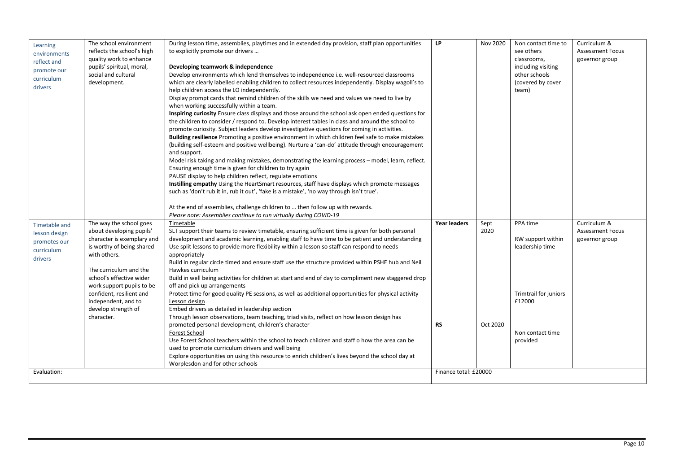| Learning<br>environments<br>reflect and<br>promote our<br>curriculum<br>drivers | The school environment<br>reflects the school's high<br>quality work to enhance<br>pupils' spiritual, moral,<br>social and cultural<br>development.                                                                                                                                                       | During lesson time, assemblies, playtimes and in extended day provision, staff plan opportunities<br>to explicitly promote our drivers<br>Developing teamwork & independence<br>Develop environments which lend themselves to independence i.e. well-resourced classrooms<br>which are clearly labelled enabling children to collect resources independently. Display wagoll's to<br>help children access the LO independently.<br>Display prompt cards that remind children of the skills we need and values we need to live by<br>when working successfully within a team.<br>Inspiring curiosity Ensure class displays and those around the school ask open ended questions for<br>the children to consider / respond to. Develop interest tables in class and around the school to<br>promote curiosity. Subject leaders develop investigative questions for coming in activities.<br>Building resilience Promoting a positive environment in which children feel safe to make mistakes<br>(building self-esteem and positive wellbeing). Nurture a 'can-do' attitude through encouragement<br>and support.<br>Model risk taking and making mistakes, demonstrating the learning process - model, learn, reflect.<br>Ensuring enough time is given for children to try again<br>PAUSE display to help children reflect, regulate emotions<br>Instilling empathy Using the HeartSmart resources, staff have displays which promote messages<br>such as 'don't rub it in, rub it out', 'fake is a mistake', 'no way through isn't true'.<br>At the end of assemblies, challenge children to  then follow up with rewards.<br>Please note: Assemblies continue to run virtually during COVID-19 | <b>LP</b>                 | Nov 2020                 | Non contact time to<br>see others<br>classrooms.<br>including visiting<br>other schools<br>(covered by cover<br>team) | Curriculum &<br><b>Assessment Focus</b><br>governor group |
|---------------------------------------------------------------------------------|-----------------------------------------------------------------------------------------------------------------------------------------------------------------------------------------------------------------------------------------------------------------------------------------------------------|--------------------------------------------------------------------------------------------------------------------------------------------------------------------------------------------------------------------------------------------------------------------------------------------------------------------------------------------------------------------------------------------------------------------------------------------------------------------------------------------------------------------------------------------------------------------------------------------------------------------------------------------------------------------------------------------------------------------------------------------------------------------------------------------------------------------------------------------------------------------------------------------------------------------------------------------------------------------------------------------------------------------------------------------------------------------------------------------------------------------------------------------------------------------------------------------------------------------------------------------------------------------------------------------------------------------------------------------------------------------------------------------------------------------------------------------------------------------------------------------------------------------------------------------------------------------------------------------------------------------------------------------------------------------------------------------------|---------------------------|--------------------------|-----------------------------------------------------------------------------------------------------------------------|-----------------------------------------------------------|
| Timetable and<br>lesson design<br>promotes our<br>curriculum<br>drivers         | The way the school goes<br>about developing pupils'<br>character is exemplary and<br>is worthy of being shared<br>with others.<br>The curriculum and the<br>school's effective wider<br>work support pupils to be<br>confident, resilient and<br>independent, and to<br>develop strength of<br>character. | Timetable<br>SLT support their teams to review timetable, ensuring sufficient time is given for both personal<br>development and academic learning, enabling staff to have time to be patient and understanding<br>Use split lessons to provide more flexibility within a lesson so staff can respond to needs<br>appropriately<br>Build in regular circle timed and ensure staff use the structure provided within PSHE hub and Neil<br>Hawkes curriculum<br>Build in well being activities for children at start and end of day to compliment new staggered drop<br>off and pick up arrangements<br>Protect time for good quality PE sessions, as well as additional opportunities for physical activity<br>Lesson design<br>Embed drivers as detailed in leadership section<br>Through lesson observations, team teaching, triad visits, reflect on how lesson design has<br>promoted personal development, children's character<br>Forest School<br>Use Forest School teachers within the school to teach children and staff o how the area can be<br>used to promote curriculum drivers and well being<br>Explore opportunities on using this resource to enrich children's lives beyond the school day at<br>Worplesdon and for other schools                                                                                                                                                                                                                                                                                                                                                                                                                                              | Year leaders<br><b>RS</b> | Sept<br>2020<br>Oct 2020 | PPA time<br>RW support within<br>leadership time<br>Trimtrail for juniors<br>£12000<br>Non contact time<br>provided   | Curriculum &<br><b>Assessment Focus</b><br>governor group |
| Evaluation:                                                                     |                                                                                                                                                                                                                                                                                                           |                                                                                                                                                                                                                                                                                                                                                                                                                                                                                                                                                                                                                                                                                                                                                                                                                                                                                                                                                                                                                                                                                                                                                                                                                                                                                                                                                                                                                                                                                                                                                                                                                                                                                                  | Finance total: £20000     |                          |                                                                                                                       |                                                           |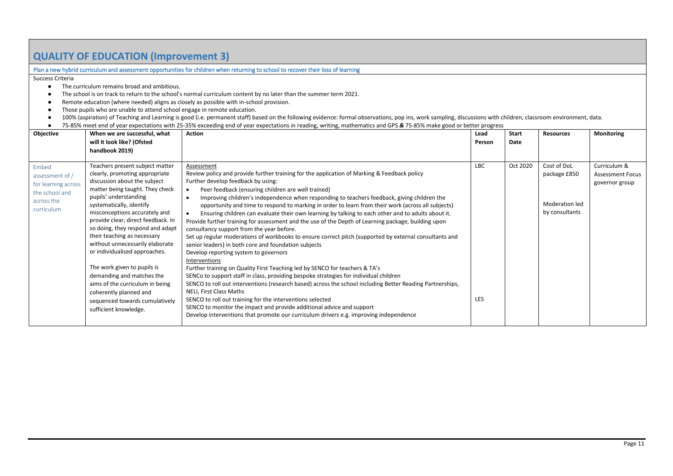## <span id="page-10-0"></span>**QUALITY OF EDUCATION (Improvement 3)**

#### <span id="page-10-1"></span>Plan a new hybrid curriculum and assessment opportunities for children when returning to school to recover their loss of learning

Success Criteria

- The curriculum remains broad and ambitious.
- The school is on track to return to the school's normal curriculum content by no later than the summer term 2021.
- Remote education (where needed) aligns as closely as possible with in-school provision.
- Those pupils who are unable to attend school engage in remote education.
- 100% (aspiration) of Teaching and Learning is good (i.e. permanent staff) based on the following evidence: formal observations, pop ins, work sampling, discussions with children, classroom environment, data.
- 75-85% meet end of year expectations with 25-35% exceeding end of year expectations in reading, writing, mathematics and GPS *&* 75-85% make good or better progress

<span id="page-10-2"></span>

| Objective                                                                                            | When we are successful, what                                                                                                                                                                                                                                                                                                                                                                                                                                                                                                                                                                | <b>Action</b>                                                                                                                                                                                                                                                                                                                                                                                                                                                                                                                                                                                                                                                                                                                                                                                                                                                                                                                                                                                                                                                                                                                                                                                                                                                                                                                                                                                                                                                                          | Lead              | Start    | <b>Resources</b>                                                | Monitoring                                                |
|------------------------------------------------------------------------------------------------------|---------------------------------------------------------------------------------------------------------------------------------------------------------------------------------------------------------------------------------------------------------------------------------------------------------------------------------------------------------------------------------------------------------------------------------------------------------------------------------------------------------------------------------------------------------------------------------------------|----------------------------------------------------------------------------------------------------------------------------------------------------------------------------------------------------------------------------------------------------------------------------------------------------------------------------------------------------------------------------------------------------------------------------------------------------------------------------------------------------------------------------------------------------------------------------------------------------------------------------------------------------------------------------------------------------------------------------------------------------------------------------------------------------------------------------------------------------------------------------------------------------------------------------------------------------------------------------------------------------------------------------------------------------------------------------------------------------------------------------------------------------------------------------------------------------------------------------------------------------------------------------------------------------------------------------------------------------------------------------------------------------------------------------------------------------------------------------------------|-------------------|----------|-----------------------------------------------------------------|-----------------------------------------------------------|
|                                                                                                      | will it look like? (Ofsted                                                                                                                                                                                                                                                                                                                                                                                                                                                                                                                                                                  |                                                                                                                                                                                                                                                                                                                                                                                                                                                                                                                                                                                                                                                                                                                                                                                                                                                                                                                                                                                                                                                                                                                                                                                                                                                                                                                                                                                                                                                                                        | Person            | Date     |                                                                 |                                                           |
|                                                                                                      | handbook 2019)                                                                                                                                                                                                                                                                                                                                                                                                                                                                                                                                                                              |                                                                                                                                                                                                                                                                                                                                                                                                                                                                                                                                                                                                                                                                                                                                                                                                                                                                                                                                                                                                                                                                                                                                                                                                                                                                                                                                                                                                                                                                                        |                   |          |                                                                 |                                                           |
| <b>Fmbed</b><br>assessment of /<br>for learning across<br>the school and<br>across the<br>curriculum | Teachers present subject matter<br>clearly, promoting appropriate<br>discussion about the subject<br>matter being taught. They check<br>pupils' understanding<br>systematically, identify<br>misconceptions accurately and<br>provide clear, direct feedback. In<br>so doing, they respond and adapt<br>their teaching as necessary<br>without unnecessarily elaborate<br>or individualised approaches.<br>The work given to pupils is<br>demanding and matches the<br>aims of the curriculum in being<br>coherently planned and<br>sequenced towards cumulatively<br>sufficient knowledge. | Assessment<br>Review policy and provide further training for the application of Marking & Feedback policy<br>Further develop feedback by using:<br>Peer feedback (ensuring children are well trained)<br>$\bullet$<br>Improving children's independence when responding to teachers feedback, giving children the<br>$\bullet$<br>opportunity and time to respond to marking in order to learn from their work (across all subjects)<br>Ensuring children can evaluate their own learning by talking to each other and to adults about it.<br>$\bullet$<br>Provide further training for assessment and the use of the Depth of Learning package, building upon<br>consultancy support from the year before.<br>Set up regular moderations of workbooks to ensure correct pitch (supported by external consultants and<br>senior leaders) in both core and foundation subjects<br>Develop reporting system to governors<br>Interventions<br>Further training on Quality First Teaching led by SENCO for teachers & TA's<br>SENCo to support staff in class, providing bespoke strategies for individual children<br>SENCO to roll out interventions (research based) across the school including Better Reading Partnerships,<br>NELI, First Class Maths<br>SENCO to roll out training for the interventions selected<br>SENCO to monitor the impact and provide additional advice and support<br>Develop interventions that promote our curriculum drivers e.g. improving independence | <b>LBC</b><br>LES | Oct 2020 | Cost of DoL<br>package £850<br>Moderation led<br>by consultants | Curriculum &<br><b>Assessment Focus</b><br>governor group |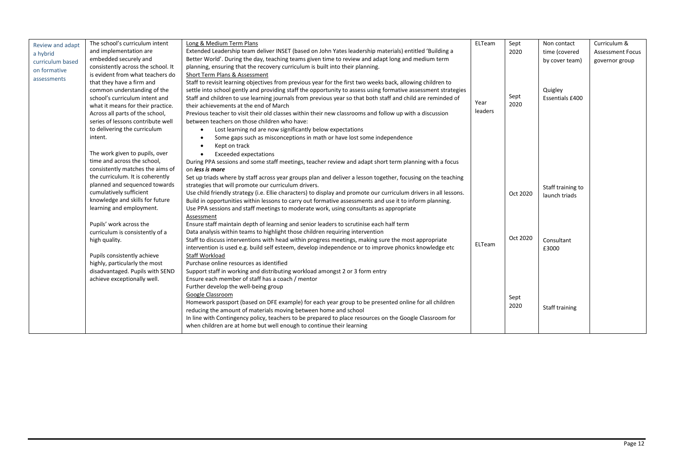<span id="page-11-0"></span>

| Review and adapt<br>a hybrid<br>curriculum based<br>on formative<br>assessments | The school's curriculum intent<br>and implementation are<br>embedded securely and<br>consistently across the school. It<br>is evident from what teachers do<br>that they have a firm and                                                                                               | Long & Medium Term Plans<br>Extended Leadership team deliver INSET (based on John Yates leadership materials) entitled 'Building a<br>Better World'. During the day, teaching teams given time to review and adapt long and medium term<br>planning, ensuring that the recovery curriculum is built into their planning.<br>Short Term Plans & Assessment<br>Staff to revisit learning objectives from previous year for the first two weeks back, allowing children to                                                                                                                                                                   | ELTeam          | Sept<br>2020 | Non contact<br>time (covered<br>by cover team)<br>Quigley | Curriculum &<br><b>Assessment Focus</b><br>governor group |
|---------------------------------------------------------------------------------|----------------------------------------------------------------------------------------------------------------------------------------------------------------------------------------------------------------------------------------------------------------------------------------|-------------------------------------------------------------------------------------------------------------------------------------------------------------------------------------------------------------------------------------------------------------------------------------------------------------------------------------------------------------------------------------------------------------------------------------------------------------------------------------------------------------------------------------------------------------------------------------------------------------------------------------------|-----------------|--------------|-----------------------------------------------------------|-----------------------------------------------------------|
|                                                                                 | common understanding of the<br>school's curriculum intent and<br>what it means for their practice.<br>Across all parts of the school,<br>series of lessons contribute well<br>to delivering the curriculum<br>intent.<br>The work given to pupils, over<br>time and across the school, | settle into school gently and providing staff the opportunity to assess using formative assessment strategies<br>Staff and children to use learning journals from previous year so that both staff and child are reminded of<br>their achievements at the end of March<br>Previous teacher to visit their old classes within their new classrooms and follow up with a discussion<br>between teachers on those children who have:<br>Lost learning nd are now significantly below expectations<br>Some gaps such as misconceptions in math or have lost some independence<br>Kept on track<br><b>Exceeded expectations</b>                | Year<br>leaders | Sept<br>2020 | Essentials £400                                           |                                                           |
|                                                                                 | consistently matches the aims of<br>the curriculum. It is coherently<br>planned and sequenced towards<br>cumulatively sufficient<br>knowledge and skills for future<br>learning and employment.                                                                                        | During PPA sessions and some staff meetings, teacher review and adapt short term planning with a focus<br>on less is more<br>Set up triads where by staff across year groups plan and deliver a lesson together, focusing on the teaching<br>strategies that will promote our curriculum drivers.<br>Use child friendly strategy (i.e. Ellie characters) to display and promote our curriculum drivers in all lessons.<br>Build in opportunities within lessons to carry out formative assessments and use it to inform planning.<br>Use PPA sessions and staff meetings to moderate work, using consultants as appropriate<br>Assessment |                 | Oct 2020     | Staff training to<br>launch triads                        |                                                           |
|                                                                                 | Pupils' work across the<br>curriculum is consistently of a<br>high quality.<br>Pupils consistently achieve<br>highly, particularly the most<br>disadvantaged. Pupils with SEND<br>achieve exceptionally well.                                                                          | Ensure staff maintain depth of learning and senior leaders to scrutinise each half term<br>Data analysis within teams to highlight those children requiring intervention<br>Staff to discuss interventions with head within progress meetings, making sure the most appropriate<br>intervention is used e.g. build self esteem, develop independence or to improve phonics knowledge etc<br>Staff Workload<br>Purchase online resources as identified<br>Support staff in working and distributing workload amongst 2 or 3 form entry<br>Ensure each member of staff has a coach / mentor                                                 | <b>ELTeam</b>   | Oct 2020     | Consultant<br>£3000                                       |                                                           |
|                                                                                 |                                                                                                                                                                                                                                                                                        | Further develop the well-being group<br>Google Classroom<br>Homework passport (based on DFE example) for each year group to be presented online for all children<br>reducing the amount of materials moving between home and school<br>In line with Contingency policy, teachers to be prepared to place resources on the Google Classroom for<br>when children are at home but well enough to continue their learning                                                                                                                                                                                                                    |                 | Sept<br>2020 | Staff training                                            |                                                           |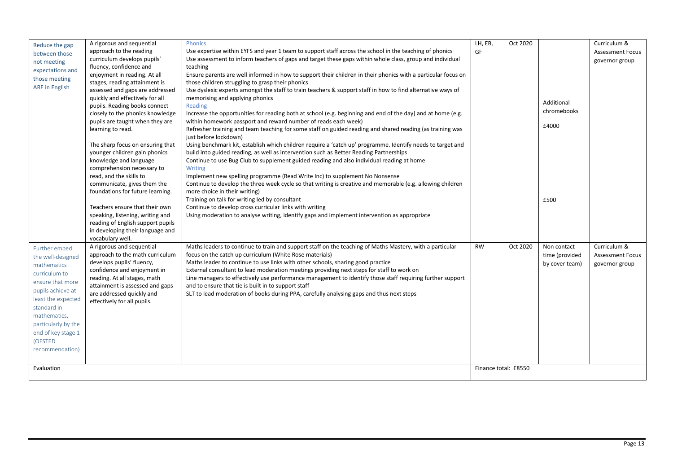<span id="page-12-1"></span><span id="page-12-0"></span>

| Reduce the gap<br>between those<br>not meeting<br>expectations and<br>those meeting<br><b>ARE</b> in English                                                                                                                                              | A rigorous and sequential<br>approach to the reading<br>curriculum develops pupils'<br>fluency, confidence and<br>enjoyment in reading. At all<br>stages, reading attainment is<br>assessed and gaps are addressed<br>quickly and effectively for all<br>pupils. Reading books connect<br>closely to the phonics knowledge<br>pupils are taught when they are<br>learning to read.<br>The sharp focus on ensuring that<br>younger children gain phonics<br>knowledge and language<br>comprehension necessary to<br>read, and the skills to<br>communicate, gives them the<br>foundations for future learning.<br>Teachers ensure that their own<br>speaking, listening, writing and<br>reading of English support pupils<br>in developing their language and<br>vocabulary well. | Phonics<br>Use expertise within EYFS and year 1 team to support staff across the school in the teaching of phonics<br>Use assessment to inform teachers of gaps and target these gaps within whole class, group and individual<br>teaching<br>Ensure parents are well informed in how to support their children in their phonics with a particular focus on<br>those children struggling to grasp their phonics<br>Use dyslexic experts amongst the staff to train teachers & support staff in how to find alternative ways of<br>memorising and applying phonics<br>Reading<br>Increase the opportunities for reading both at school (e.g. beginning and end of the day) and at home (e.g.<br>within homework passport and reward number of reads each week)<br>Refresher training and team teaching for some staff on guided reading and shared reading (as training was<br>just before lockdown)<br>Using benchmark kit, establish which children require a 'catch up' programme. Identify needs to target and<br>build into guided reading, as well as intervention such as Better Reading Partnerships<br>Continue to use Bug Club to supplement guided reading and also individual reading at home<br>Writing<br>Implement new spelling programme (Read Write Inc) to supplement No Nonsense<br>Continue to develop the three week cycle so that writing is creative and memorable (e.g. allowing children<br>more choice in their writing)<br>Training on talk for writing led by consultant<br>Continue to develop cross curricular links with writing<br>Using moderation to analyse writing, identify gaps and implement intervention as appropriate | LH, EB,<br>GF                     | Oct 2020 | Additional<br>chromebooks<br>£4000<br>£500      | Curriculum &<br><b>Assessment Focus</b><br>governor group |
|-----------------------------------------------------------------------------------------------------------------------------------------------------------------------------------------------------------------------------------------------------------|----------------------------------------------------------------------------------------------------------------------------------------------------------------------------------------------------------------------------------------------------------------------------------------------------------------------------------------------------------------------------------------------------------------------------------------------------------------------------------------------------------------------------------------------------------------------------------------------------------------------------------------------------------------------------------------------------------------------------------------------------------------------------------|----------------------------------------------------------------------------------------------------------------------------------------------------------------------------------------------------------------------------------------------------------------------------------------------------------------------------------------------------------------------------------------------------------------------------------------------------------------------------------------------------------------------------------------------------------------------------------------------------------------------------------------------------------------------------------------------------------------------------------------------------------------------------------------------------------------------------------------------------------------------------------------------------------------------------------------------------------------------------------------------------------------------------------------------------------------------------------------------------------------------------------------------------------------------------------------------------------------------------------------------------------------------------------------------------------------------------------------------------------------------------------------------------------------------------------------------------------------------------------------------------------------------------------------------------------------------------------------------------------------------------------------------------------------|-----------------------------------|----------|-------------------------------------------------|-----------------------------------------------------------|
| Further embed<br>the well-designed<br>mathematics<br>curriculum to<br>ensure that more<br>pupils achieve at<br>least the expected<br>standard in<br>mathematics,<br>particularly by the<br>end of key stage 1<br>(OFSTED<br>recommendation)<br>Evaluation | A rigorous and sequential<br>approach to the math curriculum<br>develops pupils' fluency,<br>confidence and enjoyment in<br>reading. At all stages, math<br>attainment is assessed and gaps<br>are addressed quickly and<br>effectively for all pupils.                                                                                                                                                                                                                                                                                                                                                                                                                                                                                                                          | Maths leaders to continue to train and support staff on the teaching of Maths Mastery, with a particular<br>focus on the catch up curriculum (White Rose materials)<br>Maths leader to continue to use links with other schools, sharing good practice<br>External consultant to lead moderation meetings providing next steps for staff to work on<br>Line managers to effectively use performance management to identify those staff requiring further support<br>and to ensure that tie is built in to support staff<br>SLT to lead moderation of books during PPA, carefully analysing gaps and thus next steps                                                                                                                                                                                                                                                                                                                                                                                                                                                                                                                                                                                                                                                                                                                                                                                                                                                                                                                                                                                                                                            | <b>RW</b><br>Finance total: £8550 | Oct 2020 | Non contact<br>time (provided<br>by cover team) | Curriculum &<br><b>Assessment Focus</b><br>governor group |
|                                                                                                                                                                                                                                                           |                                                                                                                                                                                                                                                                                                                                                                                                                                                                                                                                                                                                                                                                                                                                                                                  |                                                                                                                                                                                                                                                                                                                                                                                                                                                                                                                                                                                                                                                                                                                                                                                                                                                                                                                                                                                                                                                                                                                                                                                                                                                                                                                                                                                                                                                                                                                                                                                                                                                                |                                   |          |                                                 |                                                           |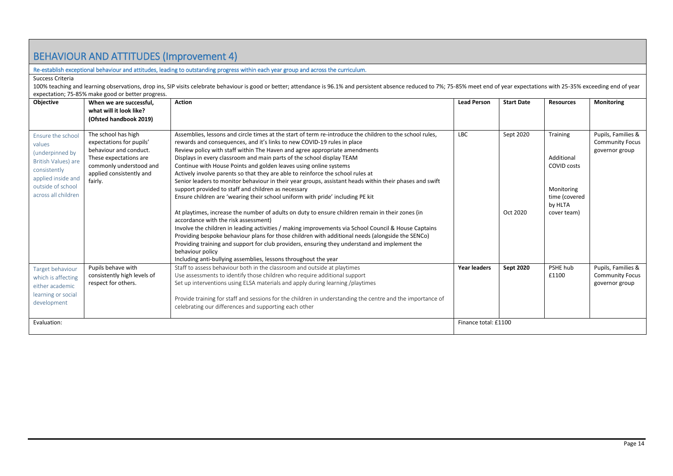## <span id="page-13-0"></span>BEHAVIOUR AND ATTITUDES (Improvement 4)

#### <span id="page-13-1"></span>Re-establish exceptional behaviour and attitudes, leading to outstanding progress within each year group and across the curriculum.

Success Criteria

100% teaching and learning observations, drop ins, SIP visits celebrate behaviour is good or better; attendance is 96.1% and persistent absence reduced to 7%; 75-85% meet end of year expectations with 25-35% exceeding end expectation; 75-85% make good or better progress.

<span id="page-13-3"></span><span id="page-13-2"></span>

| <b>Objective</b>                                                                                                                                        | When we are successful,<br>what will it look like?                                                                                                                                              | <b>Action</b>                                                                                                                                                                                                                                                                                                                                                                                                                                                                                                                                                                                                                                                                                                                                                                                                                                                                                                                                                                                                                                                                                                                                                                                                                                                                                          | <b>Lead Person</b>   | <b>Start Date</b>     | <b>Resources</b>                                                                                             | <b>Monitoring</b>                                              |
|---------------------------------------------------------------------------------------------------------------------------------------------------------|-------------------------------------------------------------------------------------------------------------------------------------------------------------------------------------------------|--------------------------------------------------------------------------------------------------------------------------------------------------------------------------------------------------------------------------------------------------------------------------------------------------------------------------------------------------------------------------------------------------------------------------------------------------------------------------------------------------------------------------------------------------------------------------------------------------------------------------------------------------------------------------------------------------------------------------------------------------------------------------------------------------------------------------------------------------------------------------------------------------------------------------------------------------------------------------------------------------------------------------------------------------------------------------------------------------------------------------------------------------------------------------------------------------------------------------------------------------------------------------------------------------------|----------------------|-----------------------|--------------------------------------------------------------------------------------------------------------|----------------------------------------------------------------|
| Ensure the school<br>values<br>(underpinned by<br>British Values) are<br>consistently<br>applied inside and<br>outside of school<br>across all children | (Ofsted handbook 2019)<br>The school has high<br>expectations for pupils'<br>behaviour and conduct.<br>These expectations are<br>commonly understood and<br>applied consistently and<br>fairly. | Assemblies, lessons and circle times at the start of term re-introduce the children to the school rules,<br>rewards and consequences, and it's links to new COVID-19 rules in place<br>Review policy with staff within The Haven and agree appropriate amendments<br>Displays in every classroom and main parts of the school display TEAM<br>Continue with House Points and golden leaves using online systems<br>Actively involve parents so that they are able to reinforce the school rules at<br>Senior leaders to monitor behaviour in their year groups, assistant heads within their phases and swift<br>support provided to staff and children as necessary<br>Ensure children are 'wearing their school uniform with pride' including PE kit<br>At playtimes, increase the number of adults on duty to ensure children remain in their zones (in<br>accordance with the risk assessment)<br>Involve the children in leading activities / making improvements via School Council & House Captains<br>Providing bespoke behaviour plans for those children with additional needs (alongside the SENCo)<br>Providing training and support for club providers, ensuring they understand and implement the<br>behaviour policy<br>Including anti-bullying assemblies, lessons throughout the year | <b>LBC</b>           | Sept 2020<br>Oct 2020 | <b>Training</b><br>Additional<br><b>COVID costs</b><br>Monitoring<br>time (covered<br>by HLTA<br>cover team) | Pupils, Families &<br><b>Community Focus</b><br>governor group |
| Target behaviour<br>which is affecting<br>either academic<br>learning or social<br>development                                                          | Pupils behave with<br>consistently high levels of<br>respect for others.                                                                                                                        | Staff to assess behaviour both in the classroom and outside at playtimes<br>Use assessments to identify those children who require additional support<br>Set up interventions using ELSA materials and apply during learning /playtimes<br>Provide training for staff and sessions for the children in understanding the centre and the importance of<br>celebrating our differences and supporting each other                                                                                                                                                                                                                                                                                                                                                                                                                                                                                                                                                                                                                                                                                                                                                                                                                                                                                         | <b>Year leaders</b>  | Sept 2020             | PSHE hub<br>£1100                                                                                            | Pupils, Families &<br><b>Community Focus</b><br>governor group |
| Evaluation:                                                                                                                                             |                                                                                                                                                                                                 |                                                                                                                                                                                                                                                                                                                                                                                                                                                                                                                                                                                                                                                                                                                                                                                                                                                                                                                                                                                                                                                                                                                                                                                                                                                                                                        | Finance total: £1100 |                       |                                                                                                              |                                                                |